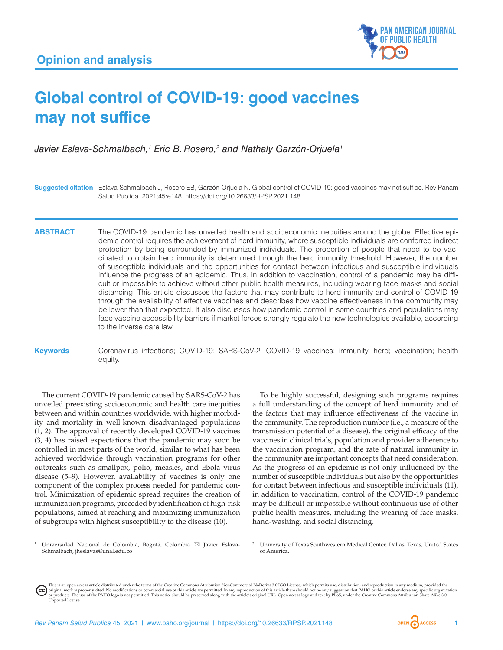

# **Global control of COVID-19: good vaccines may not suffice**

Javier Eslava-Schmalbach,<sup>1</sup> Eric B. Rosero,<sup>2</sup> and Nathaly Garzón-Orjuela<sup>1</sup>

**Suggested citation** Eslava-Schmalbach J, Rosero EB, Garzón-Orjuela N. Global control of COVID-19: good vaccines may not suffice. Rev Panam Salud Publica. 2021;45:e148. <https://doi.org/10.26633/RPSP.2021.148>

**ABSTRACT** The COVID-19 pandemic has unveiled health and socioeconomic inequities around the globe. Effective epidemic control requires the achievement of herd immunity, where susceptible individuals are conferred indirect protection by being surrounded by immunized individuals. The proportion of people that need to be vaccinated to obtain herd immunity is determined through the herd immunity threshold. However, the number of susceptible individuals and the opportunities for contact between infectious and susceptible individuals influence the progress of an epidemic. Thus, in addition to vaccination, control of a pandemic may be difficult or impossible to achieve without other public health measures, including wearing face masks and social distancing. This article discusses the factors that may contribute to herd immunity and control of COVID-19 through the availability of effective vaccines and describes how vaccine effectiveness in the community may be lower than that expected. It also discusses how pandemic control in some countries and populations may face vaccine accessibility barriers if market forces strongly regulate the new technologies available, according to the inverse care law.

**Keywords** Coronavirus infections; COVID-19; SARS-CoV-2; COVID-19 vaccines; immunity, herd; vaccination; health equity.

The current COVID-19 pandemic caused by SARS-CoV-2 has unveiled preexisting socioeconomic and health care inequities between and within countries worldwide, with higher morbidity and mortality in well-known disadvantaged populations (1, 2). The approval of recently developed COVID-19 vaccines (3, 4) has raised expectations that the pandemic may soon be controlled in most parts of the world, similar to what has been achieved worldwide through vaccination programs for other outbreaks such as smallpox, polio, measles, and Ebola virus disease (5–9). However, availability of vaccines is only one component of the complex process needed for pandemic control. Minimization of epidemic spread requires the creation of immunization programs, preceded by identification of high-risk populations, aimed at reaching and maximizing immunization of subgroups with highest susceptibility to the disease (10).

To be highly successful, designing such programs requires a full understanding of the concept of herd immunity and of the factors that may influence effectiveness of the vaccine in the community. The reproduction number (i.e., a measure of the transmission potential of a disease), the original efficacy of the vaccines in clinical trials, population and provider adherence to the vaccination program, and the rate of natural immunity in the community are important concepts that need consideration. As the progress of an epidemic is not only influenced by the number of susceptible individuals but also by the opportunities for contact between infectious and susceptible individuals (11), in addition to vaccination, control of the COVID-19 pandemic may be difficult or impossible without continuous use of other public health measures, including the wearing of face masks, hand-washing, and social distancing.

Universidad Nacional de Colombia, Bogotá, Colombia ⊠ Javier Eslava-Schmalbach, [jheslavas@unal.edu.co](mailto:jheslavas@unal.edu.co)

This is an open access article distributed under the terms of the [Creative Commons Attribution-NonCommercial-NoDerivs 3.0 IGO](https://creativecommons.org/licenses/by-nc-nd/3.0/igo/legalcode) License, which permits use, distribution, and reproduction in any medium, provided the (cc) original work is properly cited. No modifications or commercial use of this article are permitted. In any reproduction of this article there should not be any suggestion that PAHO or this article endorse any specific organ [Unported](https://creativecommons.org/licenses/by-sa/3.0/deed.en) license.

<sup>2</sup> University of Texas Southwestern Medical Center, Dallas, Texas, United States of America.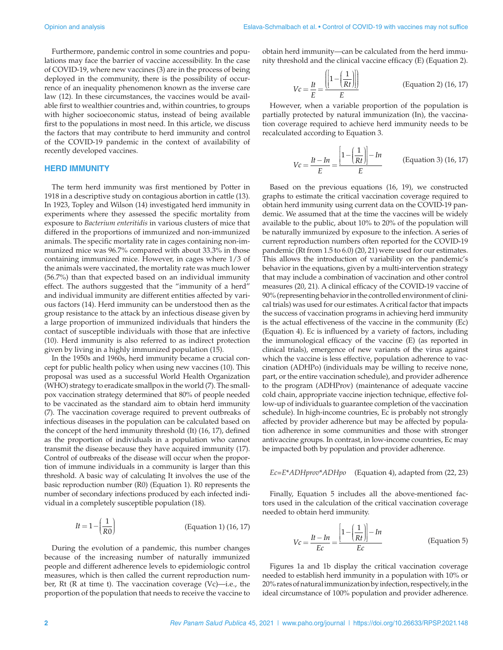Furthermore, pandemic control in some countries and populations may face the barrier of vaccine accessibility. In the case of COVID-19, where new vaccines (3) are in the process of being deployed in the community, there is the possibility of occurrence of an inequality phenomenon known as the inverse care law (12). In these circumstances, the vaccines would be available first to wealthier countries and, within countries, to groups with higher socioeconomic status, instead of being available first to the populations in most need. In this article, we discuss the factors that may contribute to herd immunity and control of the COVID-19 pandemic in the context of availability of recently developed vaccines.

## **HERD IMMUNITY**

The term herd immunity was first mentioned by Potter in 1918 in a descriptive study on contagious abortion in cattle (13). In 1923, Topley and Wilson (14) investigated herd immunity in experiments where they assessed the specific mortality from exposure to *Bacterium enteritidis* in various clusters of mice that differed in the proportions of immunized and non-immunized animals. The specific mortality rate in cages containing non-immunized mice was 96.7% compared with about 33.3% in those containing immunized mice. However, in cages where 1/3 of the animals were vaccinated, the mortality rate was much lower (56.7%) than that expected based on an individual immunity effect. The authors suggested that the "immunity of a herd" and individual immunity are different entities affected by various factors (14). Herd immunity can be understood then as the group resistance to the attack by an infectious disease given by a large proportion of immunized individuals that hinders the contact of susceptible individuals with those that are infective (10). Herd immunity is also referred to as indirect protection given by living in a highly immunized population (15).

In the 1950s and 1960s, herd immunity became a crucial concept for public health policy when using new vaccines (10). This proposal was used as a successful World Health Organization (WHO) strategy to eradicate smallpox in the world (7). The smallpox vaccination strategy determined that 80% of people needed to be vaccinated as the standard aim to obtain herd immunity (7). The vaccination coverage required to prevent outbreaks of infectious diseases in the population can be calculated based on the concept of the herd immunity threshold (It) (16, 17), defined as the proportion of individuals in a population who cannot transmit the disease because they have acquired immunity (17). Control of outbreaks of the disease will occur when the proportion of immune individuals in a community is larger than this threshold. A basic way of calculating It involves the use of the basic reproduction number (R0) (Equation 1). R0 represents the number of secondary infections produced by each infected individual in a completely susceptible population (18).

$$
It = 1 - \left(\frac{1}{R0}\right)
$$
 (Equation 1) (16, 17)

During the evolution of a pandemic, this number changes because of the increasing number of naturally immunized people and different adherence levels to epidemiologic control measures, which is then called the current reproduction number, Rt  $(R$  at time t). The vaccination coverage  $(Vc)$ —i.e., the proportion of the population that needs to receive the vaccine to

obtain herd immunity—can be calculated from the herd immunity threshold and the clinical vaccine efficacy (E) (Equation 2).

$$
Vc = \frac{It}{E} = \frac{\left(\left[1 - \left(\frac{1}{Rt}\right)\right]\right)}{E}
$$
 (Equation 2) (16, 17)

However, when a variable proportion of the population is partially protected by natural immunization (In), the vaccination coverage required to achieve herd immunity needs to be recalculated according to Equation 3.

$$
Vc = \frac{It - In}{E} = \frac{\left[1 - \left(\frac{1}{Rt}\right)\right] - In}{E}
$$
 (Equation 3) (16, 17)

Based on the previous equations (16, 19), we constructed graphs to estimate the critical vaccination coverage required to obtain herd immunity using current data on the COVID-19 pandemic. We assumed that at the time the vaccines will be widely available to the public, about 10% to 20% of the population will be naturally immunized by exposure to the infection. A series of current reproduction numbers often reported for the COVID-19 pandemic (Rt from 1.5 to 6.0) (20, 21) were used for our estimates. This allows the introduction of variability on the pandemic's behavior in the equations, given by a multi-intervention strategy that may include a combination of vaccination and other control measures (20, 21). A clinical efficacy of the COVID-19 vaccine of 90% (representing behavior in the controlled environment of clinical trials) was used for our estimates. A critical factor that impacts the success of vaccination programs in achieving herd immunity is the actual effectiveness of the vaccine in the community (Ec) (Equation 4). Ec is influenced by a variety of factors, including the immunological efficacy of the vaccine (E) (as reported in clinical trials), emergence of new variants of the virus against which the vaccine is less effective, population adherence to vaccination (ADHPo) (individuals may be willing to receive none, part, or the entire vaccination schedule), and provider adherence to the program (ADHProv) (maintenance of adequate vaccine cold chain, appropriate vaccine injection technique, effective follow-up of individuals to guarantee completion of the vaccination schedule). In high-income countries, Ec is probably not strongly affected by provider adherence but may be affected by population adherence in some communities and those with stronger antivaccine groups. In contrast, in low-income countries, Ec may be impacted both by population and provider adherence.

$$
Ec = E^*ADHprov^*ADHpo
$$
 (Equation 4), adapted from (22, 23)

Finally, Equation 5 includes all the above-mentioned factors used in the calculation of the critical vaccination coverage needed to obtain herd immunity.

$$
Vc = \frac{It - In}{Ec} = \frac{\left[1 - \left(\frac{1}{Rt}\right)\right] - In}{Ec}
$$
 (Equation 5)

Figures 1a and 1b display the critical vaccination coverage needed to establish herd immunity in a population with 10% or 20% rates of natural immunization by infection, respectively, in the ideal circumstance of 100% population and provider adherence.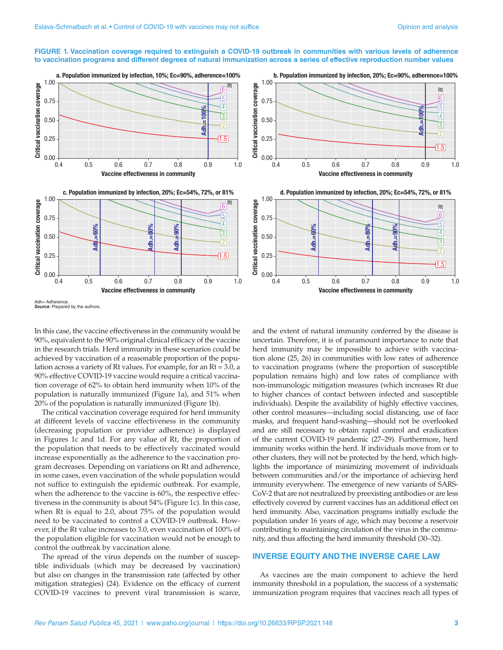## **FIGURE 1. Vaccination coverage required to extinguish a COVID-19 outbreak in communities with various levels of adherence to vaccination programs and different degrees of natural immunization across a series of effective reproduction number values**







Adh= Adherence. **Source:** Prepared by the authors

In this case, the vaccine effectiveness in the community would be 90%, equivalent to the 90% original clinical efficacy of the vaccine in the research trials. Herd immunity in these scenarios could be achieved by vaccination of a reasonable proportion of the population across a variety of Rt values. For example, for an Rt = 3.0, a 90% effective COVID-19 vaccine would require a critical vaccination coverage of 62% to obtain herd immunity when 10% of the population is naturally immunized (Figure 1a), and 51% when 20% of the population is naturally immunized (Figure 1b).

The critical vaccination coverage required for herd immunity at different levels of vaccine effectiveness in the community (decreasing population or provider adherence) is displayed in Figures 1c and 1d. For any value of Rt, the proportion of the population that needs to be effectively vaccinated would increase exponentially as the adherence to the vaccination program decreases. Depending on variations on Rt and adherence, in some cases, even vaccination of the whole population would not suffice to extinguish the epidemic outbreak. For example, when the adherence to the vaccine is 60%, the respective effectiveness in the community is about 54% (Figure 1c). In this case, when Rt is equal to 2.0, about 75% of the population would need to be vaccinated to control a COVID-19 outbreak. However, if the Rt value increases to 3.0, even vaccination of 100% of the population eligible for vaccination would not be enough to control the outbreak by vaccination alone.

The spread of the virus depends on the number of susceptible individuals (which may be decreased by vaccination) but also on changes in the transmission rate (affected by other mitigation strategies) (24). Evidence on the efficacy of current COVID-19 vaccines to prevent viral transmission is scarce,

and the extent of natural immunity conferred by the disease is uncertain. Therefore, it is of paramount importance to note that herd immunity may be impossible to achieve with vaccination alone (25, 26) in communities with low rates of adherence to vaccination programs (where the proportion of susceptible population remains high) and low rates of compliance with non-immunologic mitigation measures (which increases Rt due to higher chances of contact between infected and susceptible individuals). Despite the availability of highly effective vaccines, other control measures—including social distancing, use of face masks, and frequent hand-washing—should not be overlooked and are still necessary to obtain rapid control and eradication of the current COVID-19 pandemic (27–29). Furthermore, herd immunity works within the herd. If individuals move from or to other clusters, they will not be protected by the herd, which highlights the importance of minimizing movement of individuals between communities and/or the importance of achieving herd immunity everywhere. The emergence of new variants of SARS-CoV-2 that are not neutralized by preexisting antibodies or are less effectively covered by current vaccines has an additional effect on herd immunity. Also, vaccination programs initially exclude the population under 16 years of age, which may become a reservoir contributing to maintaining circulation of the virus in the community, and thus affecting the herd immunity threshold (30–32).

# **INVERSE EQUITY AND THE INVERSE CARE LAW**

As vaccines are the main component to achieve the herd immunity threshold in a population, the success of a systematic immunization program requires that vaccines reach all types of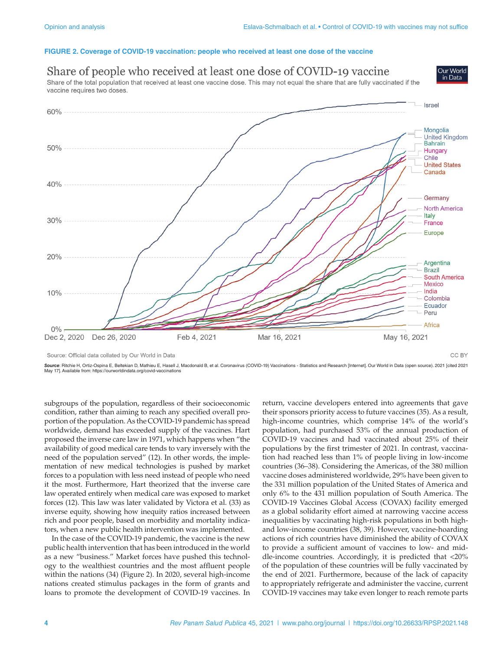#### **FIGURE 2. Coverage of COVID-19 vaccination: people who received at least one dose of the vaccine**



Source: Official data collated by Our World in Data

Source: Ritchie H, Ortiz-Ospina E, Beltekian D, Mathieu E, Hasell J, Macdonald B, et al. Coronavirus (COVID-19) Vaccinations - Statistics and Research [Internet]. Our World in Data (open source). 2021 [cited 2021<br>May 17].

subgroups of the population, regardless of their socioeconomic condition, rather than aiming to reach any specified overall proportion of the population. As the COVID-19 pandemic has spread worldwide, demand has exceeded supply of the vaccines. Hart proposed the inverse care law in 1971, which happens when "the availability of good medical care tends to vary inversely with the need of the population served" (12). In other words, the implementation of new medical technologies is pushed by market forces to a population with less need instead of people who need it the most. Furthermore, Hart theorized that the inverse care law operated entirely when medical care was exposed to market forces (12). This law was later validated by Victora et al. (33) as inverse equity, showing how inequity ratios increased between rich and poor people, based on morbidity and mortality indicators, when a new public health intervention was implemented.

In the case of the COVID-19 pandemic, the vaccine is the new public health intervention that has been introduced in the world as a new "business." Market forces have pushed this technology to the wealthiest countries and the most affluent people within the nations (34) (Figure 2). In 2020, several high-income nations created stimulus packages in the form of grants and loans to promote the development of COVID-19 vaccines. In

return, vaccine developers entered into agreements that gave their sponsors priority access to future vaccines (35). As a result, high-income countries, which comprise 14% of the world's population, had purchased 53% of the annual production of COVID-19 vaccines and had vaccinated about 25% of their populations by the first trimester of 2021. In contrast, vaccination had reached less than 1% of people living in low-income countries (36–38). Considering the Americas, of the 380 million vaccine doses administered worldwide, 29% have been given to the 331 million population of the United States of America and only 6% to the 431 million population of South America. The COVID-19 Vaccines Global Access (COVAX) facility emerged as a global solidarity effort aimed at narrowing vaccine access inequalities by vaccinating high-risk populations in both highand low-income countries (38, 39). However, vaccine-hoarding actions of rich countries have diminished the ability of COVAX to provide a sufficient amount of vaccines to low- and middle-income countries. Accordingly, it is predicted that <20% of the population of these countries will be fully vaccinated by the end of 2021. Furthermore, because of the lack of capacity to appropriately refrigerate and administer the vaccine, current COVID-19 vaccines may take even longer to reach remote parts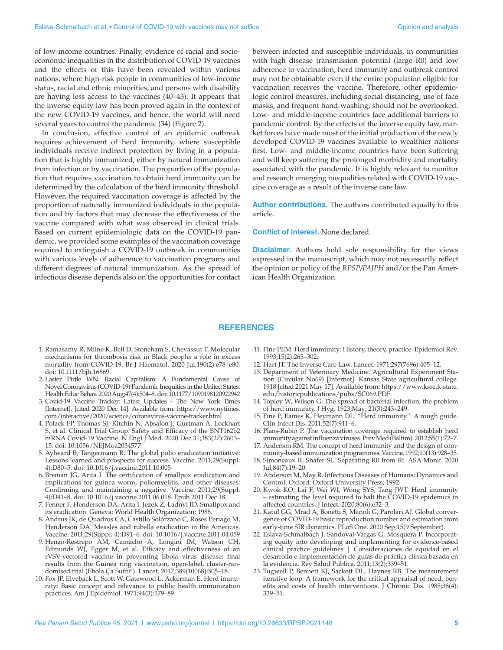of low-income countries. Finally, evidence of racial and socioeconomic inequalities in the distribution of COVID-19 vaccines and the effects of this have been revealed within various nations, where high-risk people in communities of low-income status, racial and ethnic minorities, and persons with disability are having less access to the vaccines (40–43). It appears that the inverse equity law has been proved again in the context of the new COVID-19 vaccines, and hence, the world will need several years to control the pandemic (34) (Figure 2).

In conclusion, effective control of an epidemic outbreak requires achievement of herd immunity, where susceptible individuals receive indirect protection by living in a population that is highly immunized, either by natural immunization from infection or by vaccination. The proportion of the population that requires vaccination to obtain herd immunity can be determined by the calculation of the herd immunity threshold. However, the required vaccination coverage is affected by the proportion of naturally immunized individuals in the population and by factors that may decrease the effectiveness of the vaccine compared with what was observed in clinical trials. Based on current epidemiologic data on the COVID-19 pandemic, we provided some examples of the vaccination coverage required to extinguish a COVID-19 outbreak in communities with various levels of adherence to vaccination programs and different degrees of natural immunization. As the spread of infectious disease depends also on the opportunities for contact between infected and susceptible individuals, in communities with high disease transmission potential (large R0) and low adherence to vaccination, herd immunity and outbreak control may not be obtainable even if the entire population eligible for vaccination receives the vaccine. Therefore, other epidemiologic control measures, including social distancing, use of face masks, and frequent hand-washing, should not be overlooked. Low- and middle-income countries face additional barriers to pandemic control. By the effects of the inverse equity law, market forces have made most of the initial production of the newly developed COVID-19 vaccines available to wealthier nations first. Low- and middle-income countries have been suffering and will keep suffering the prolonged morbidity and mortality associated with the pandemic. It is highly relevant to monitor and research emerging inequalities related with COVID-19 vaccine coverage as a result of the inverse care law.

**Author contributions.** The authors contributed equally to this article.

**Conflict of interest.** None declared.

**Disclaimer.** Authors hold sole responsibility for the views expressed in the manuscript, which may not necessarily reflect the opinion or policy of the *RPSP/PAJPH* and/or the Pan American Health Organization.

### **REFERENCES**

- 1. Ramasamy R, Milne K, Bell D, Stoneham S, Chevassut T. Molecular mechanisms for thrombosis risk in Black people: a role in excess mortality from COVID-19. Br J Haematol. 2020 Jul;190(2):e78–e80. doi: 10.1111/bjh.16869
- 2. Laster Pirtle WN. Racial Capitalism: A Fundamental Cause of Novel Coronavirus (COVID-19) Pandemic Inequities in the United States. Health Educ Behav. 2020 Aug;47(4):504–8. doi: 10.1177/1090198120922942
- 3. Covid-19 Vaccine Tracker: Latest Updates The New York Times [Internet]. [cited 2020 Dec 14]. Available from: [https://www.nytimes.](https://www.nytimes.com/interactive/2020/science/coronavirus-vaccine-tracker.html) [com/interactive/2020/science/coronavirus-vaccine-tracker.html](https://www.nytimes.com/interactive/2020/science/coronavirus-vaccine-tracker.html)
- 4. Polack FP, Thomas SJ, Kitchin N, Absalon J, Gurtman A, Lockhart S, et al. Clinical Trial Group. Safety and Efficacy of the BNT162b2 mRNA Covid-19 Vaccine. N Engl J Med. 2020 Dec 31;383(27):2603– 15. doi: 10.1056/NEJMoa2034577
- 5. Aylward B, Tangermann R. The global polio eradication initiative: Lessons learned and prospects for success. Vaccine. 2011;29(Suppl. 4):D80–5. doi: 10.1016/j.vaccine.2011.10.005
- 6. Breman JG, Arita I. The certification of smallpox eradication and implications for guinea worm, poliomyelitis, and other diseases: Confirming and maintaining a negative. Vaccine. 2011;29(Suppl. 4):D41–8. doi: 10.1016/j.vaccine.2011.06.018. Epub 2011 Dec 18.
- 7. Fenner F, Henderson DA, Arita I, Jezek Z, Ladnyi ID. Smallpox and its eradication. Geneva: World Health Organization; 1988.
- 8. Andrus JK, de Quadros CA, Castillo Solórzano C, Roses Periago M, Henderson DA. Measles and rubella eradication in the Americas. Vaccine. 2011;29(Suppl. 4):D91–6. doi: 10.1016/j.vaccine.2011.04.059
- 9. Henao-Restrepo AM, Camacho A, Longini IM, Watson CH, Edmunds WJ, Egger M, et al. Efficacy and effectiveness of an rVSV-vectored vaccine in preventing Ebola virus disease: final results from the Guinea ring vaccination, open-label, cluster-randomised trial (Ebola Ça Suffit!). Lancet. 2017;389(10068):505–18.
- 10. Fox JP, Elveback L, Scott W, Gatewood L, Ackerman E. Herd immunity: Basic concept and relevance to public health immunization practices. Am J Epidemiol. 1971;94(3):179–89.
- 11. Fine PEM. Herd immunity: History, theory, practice. Epidemiol Rev. 1993;15(2):265–302.
- 12. Hart JT. The Inverse Care Law. Lancet. 1971;297(7696):405–12.
- 13. Department of Veterinary Medicine. Agricultural Experiment Station (Circular No69) [Internet]. Kansas State agricultural college. 1918 [cited 2021 May 17]. Available from: [https://www.ksre.k-state.](https://www.ksre.k-state.edu/historicpublications/pubs/SC069.PDF) [edu/historicpublications/pubs/SC069.PDF](https://www.ksre.k-state.edu/historicpublications/pubs/SC069.PDF)
- 14. Topley W, Wilson G. The spread of bacterial infection, the problem of herd immunity. J Hyg. 1923;May; 21(3):243–249.
- 15. Fine P, Eames K, Heymann DL. "Herd immunity": A rough guide. Clin Infect Dis. 2011;52(7):911–6.
- 16. Plans-Rubió P. The vaccination coverage required to establish herd immunity against influenza viruses. Prev Med (Baltim). 2012;55(1):72–7.
- 17. Anderson RM. The concept of herd immunity and the design of community-based immunization programmes. Vaccine. 1992;10(13):928–35.
- 18. Simoneaux R, Shafer SL. Separating R0 from Rt. ASA Monit. 2020 Jul;84(7):19–20.
- 19. Anderson M, May R. Infectious Diseases of Humans: Dynamics and Control. Oxford: Oxford University Press; 1992.
- 20. Kwok KO, Lai F, Wei WI, Wong SYS, Tang JWT. Herd immunity – estimating the level required to halt the COVID-19 epidemics in affected countries. J Infect. 2020;80(6):e32–3.
- 21. Katul GG, Mrad A, Bonetti S, Manoli G, Parolari AJ. Global convergence of COVID-19 basic reproduction number and estimation from early-time SIR dynamics. PLoS One. 2020 Sep;15(9 September).
- 22. Eslava-Schmalbach J, Sandoval-Vargas G, Mosquera P. Incorporating equity into developing and implementing for evidence-based clinical practice guidelines | Consideraciones de equidad en el desarrollo e implementación de guías de práctica clínica basada en la evidencia. Rev Salud Publica. 2011;13(2):339–51.
- 23. Tugwell P, Bennett KJ, Sackett DL, Haynes RB. The measurement iterative loop: A framework for the critical appraisal of need, benefits and costs of health interventions. J Chronic Dis. 1985;38(4): 339–51.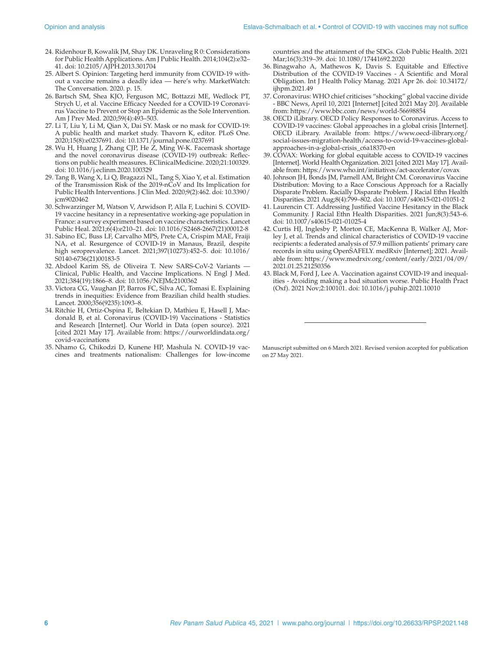- 24. Ridenhour B, Kowalik JM, Shay DK. Unraveling R 0: Considerations for Public Health Applications. Am J Public Health. 2014;104(2):e32– 41. doi: 10.2105/AJPH.2013.301704
- 25. Albert S. Opinion: Targeting herd immunity from COVID-19 without a vaccine remains a deadly idea — here's why. MarketWatch: The Conversation. 2020. p. 15.
- 26. Bartsch SM, Shea KJO, Ferguson MC, Bottazzi ME, Wedlock PT, Strych U, et al. Vaccine Efficacy Needed for a COVID-19 Coronavirus Vaccine to Prevent or Stop an Epidemic as the Sole Intervention. Am J Prev Med. 2020;59(4):493–503.
- 27. Li T, Liu Y, Li M, Qian X, Dai SY. Mask or no mask for COVID-19: A public health and market study. Thavorn K, editor. PLoS One. 2020;15(8):e0237691. doi: 10.1371/journal.pone.0237691
- 28. Wu H, Huang J, Zhang CJP, He Z, Ming W-K. Facemask shortage and the novel coronavirus disease (COVID-19) outbreak: Reflections on public health measures. EClinicalMedicine. 2020;21:100329. doi: 10.1016/j.eclinm.2020.100329
- 29. Tang B, Wang X, Li Q, Bragazzi NL, Tang S, Xiao Y, et al. Estimation of the Transmission Risk of the 2019-nCoV and Its Implication for Public Health Interventions. J Clin Med. 2020;9(2):462. doi: 10.3390/ icm9020462
- 30. Schwarzinger M, Watson V, Arwidson P, Alla F, Luchini S. COVID-19 vaccine hesitancy in a representative working-age population in France: a survey experiment based on vaccine characteristics. Lancet Public Heal. 2021;6(4):e210–21. doi: 10.1016/S2468-2667(21)00012-8
- 31. Sabino EC, Buss LF, Carvalho MPS, Prete CA, Crispim MAE, Fraiji NA, et al. Resurgence of COVID-19 in Manaus, Brazil, despite high seroprevalence. Lancet. 2021;397(10273):452–5. doi: 10.1016/ S0140-6736(21)00183-5
- 32. Abdool Karim SS, de Oliveira T. New SARS-CoV-2 Variants Clinical, Public Health, and Vaccine Implications. N Engl J Med. 2021;384(19):1866–8. doi: 10.1056/NEJMc2100362
- 33. Victora CG, Vaughan JP, Barros FC, Silva AC, Tomasi E. Explaining trends in inequities: Evidence from Brazilian child health studies. Lancet. 2000;356(9235):1093–8.
- 34. Ritchie H, Ortiz-Ospina E, Beltekian D, Mathieu E, Hasell J, Macdonald B, et al. Coronavirus (COVID-19) Vaccinations - Statistics and Research [Internet]. Our World in Data (open source). 2021 [cited 2021 May 17]. Available from: [https://ourworldindata.org/](https://ourworldindata.org/covid-vaccinations) [covid-vaccinations](https://ourworldindata.org/covid-vaccinations)
- 35. Nhamo G, Chikodzi D, Kunene HP, Mashula N. COVID-19 vaccines and treatments nationalism: Challenges for low-income

countries and the attainment of the SDGs. Glob Public Health. 2021 Mar;16(3):319–39. doi: 10.1080/17441692.2020

- 36. Binagwaho A, Mathewos K, Davis S. Equitable and Effective Distribution of the COVID-19 Vaccines - A Scientific and Moral Obligation. Int J Health Policy Manag. 2021 Apr 26. doi: 10.34172/ ijhpm.2021.49
- 37. Coronavirus: WHO chief criticises "shocking" global vaccine divide - BBC News, April 10, 2021 [Internet] [cited 2021 May 20]. Available from: <https://www.bbc.com/news/world-56698854>
- 38. OECD iLibrary. OECD Policy Responses to Coronavirus. Access to COVID-19 vaccines: Global approaches in a global crisis [Internet]. OECD iLibrary. Available from: [https://www.oecd-ilibrary.org/](https://www.oecd-ilibrary.org/social-issues-migration-health/access-to-covid-19-vaccines-global-approaches-in-a-global-crisis_c6a18370-en) [social-issues-migration-health/access-to-covid-19-vaccines-global](https://www.oecd-ilibrary.org/social-issues-migration-health/access-to-covid-19-vaccines-global-approaches-in-a-global-crisis_c6a18370-en)[approaches-in-a-global-crisis\\_c6a18370-en](https://www.oecd-ilibrary.org/social-issues-migration-health/access-to-covid-19-vaccines-global-approaches-in-a-global-crisis_c6a18370-en)
- 39. COVAX: Working for global equitable access to COVID-19 vaccines [Internet]. World Health Organization. 2021 [cited 2021 May 17]. Available from:<https://www.who.int/initiatives/act-accelerator/covax>
- 40. Johnson JH, Bonds JM, Parnell AM, Bright CM. Coronavirus Vaccine Distribution: Moving to a Race Conscious Approach for a Racially Disparate Problem. Racially Disparate Problem. J Racial Ethn Health Disparities. 2021 Aug;8(4):799–802. doi: 10.1007/s40615-021-01051-2
- 41. Laurencin CT. Addressing Justified Vaccine Hesitancy in the Black Community. J Racial Ethn Health Disparities. 2021 Jun;8(3):543–6. doi: 10.1007/s40615-021-01025-4
- 42. Curtis HJ, Inglesby P, Morton CE, MacKenna B, Walker AJ, Morley J, et al. Trends and clinical characteristics of COVID-19 vaccine recipients: a federated analysis of 57.9 million patients' primary care records in situ using OpenSAFELY. medRxiv [Internet]; 2021. Available from: [https://www.medrxiv.org/content/early/2021/04/09/](https://www.medrxiv.org/content/early/2021/04/09/2021.01.25.21250356) [2021.01.25.21250356](https://www.medrxiv.org/content/early/2021/04/09/2021.01.25.21250356)
- 43. Black M, Ford J, Lee A. Vaccination against COVID-19 and inequalities - Avoiding making a bad situation worse. Public Health Pract (Oxf). 2021 Nov;2:100101. doi: 10.1016/j.puhip.2021.10010

Manuscript submitted on 6 March 2021. Revised version accepted for publication on 27 May 2021.